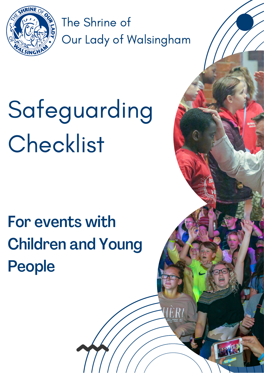

The Shrine of Our Lady of Walsingham

# Safeguarding **Checklist**

# For events with Children and Young People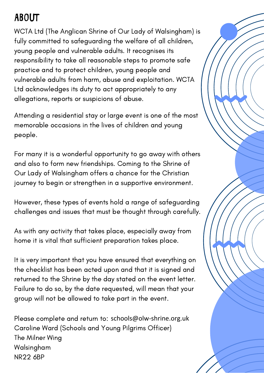## **ABOUT**

WCTA Ltd (The Anglican Shrine of Our Lady of Walsingham) is fully committed to safeguarding the welfare of all children, young people and vulnerable adults. It recognises its responsibility to take all reasonable steps to promote safe practice and to protect children, young people and vulnerable adults from harm, abuse and exploitation. WCTA Ltd acknowledges its duty to act appropriately to any allegations, reports or suspicions of abuse.

Attending a residential stay or large event is one of the most memorable occasions in the lives of children and young people.

For many it is a wonderful opportunity to go away with others and also to form new friendships. Coming to the Shrine of Our Lady of Walsingham offers a chance for the Christian journey to begin or strengthen in a supportive environment.

However, these types of events hold a range of safeguarding challenges and issues that must be thought through carefully.

As with any activity that takes place, especially away from home it is vital that sufficient preparation takes place.

It is very important that you have ensured that everything on the checklist has been acted upon and that it is signed and returned to the Shrine by the day stated on the event letter. Failure to do so, by the date requested, will mean that your group will not be allowed to take part in the event.

Please complete and return to: schools@olw-shrine.org.ukCaroline Ward (Schools and Young Pilgrims Officer) The Milner Wing Walsingham NR22 6BP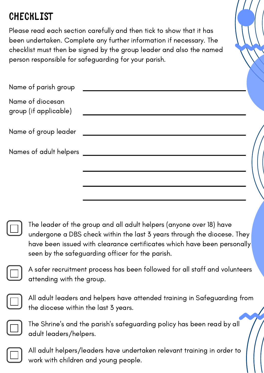### **CHECKLIST**

Please read each section carefully and then tick to show that it has been undertaken. Complete any further information if necessary. The checklist must then be signed by the group leader and also the named person responsible for safeguarding for your parish.

| Name of parish group                      |  |
|-------------------------------------------|--|
| Name of diocesan<br>group (if applicable) |  |
| Name of group leader                      |  |
| Names of adult helpers                    |  |
|                                           |  |
|                                           |  |



The leader of the group and all adult helpers (anyone over 18) have undergone a DBS check within the last 3 years through the diocese. They have been issued with clearance certificates which have been personally seen by the safeguarding officer for the parish.

A safer recruitment process has been followed for all staff and volunteers attending with the group.



All adult leaders and helpers have attended training in Safeguarding from the diocese within the last 3 years.



The Shrine's and the parish's safeguarding policy has been read by all adult leaders/helpers.



All adult helpers/leaders have undertaken relevant training in order to work with children and young people.